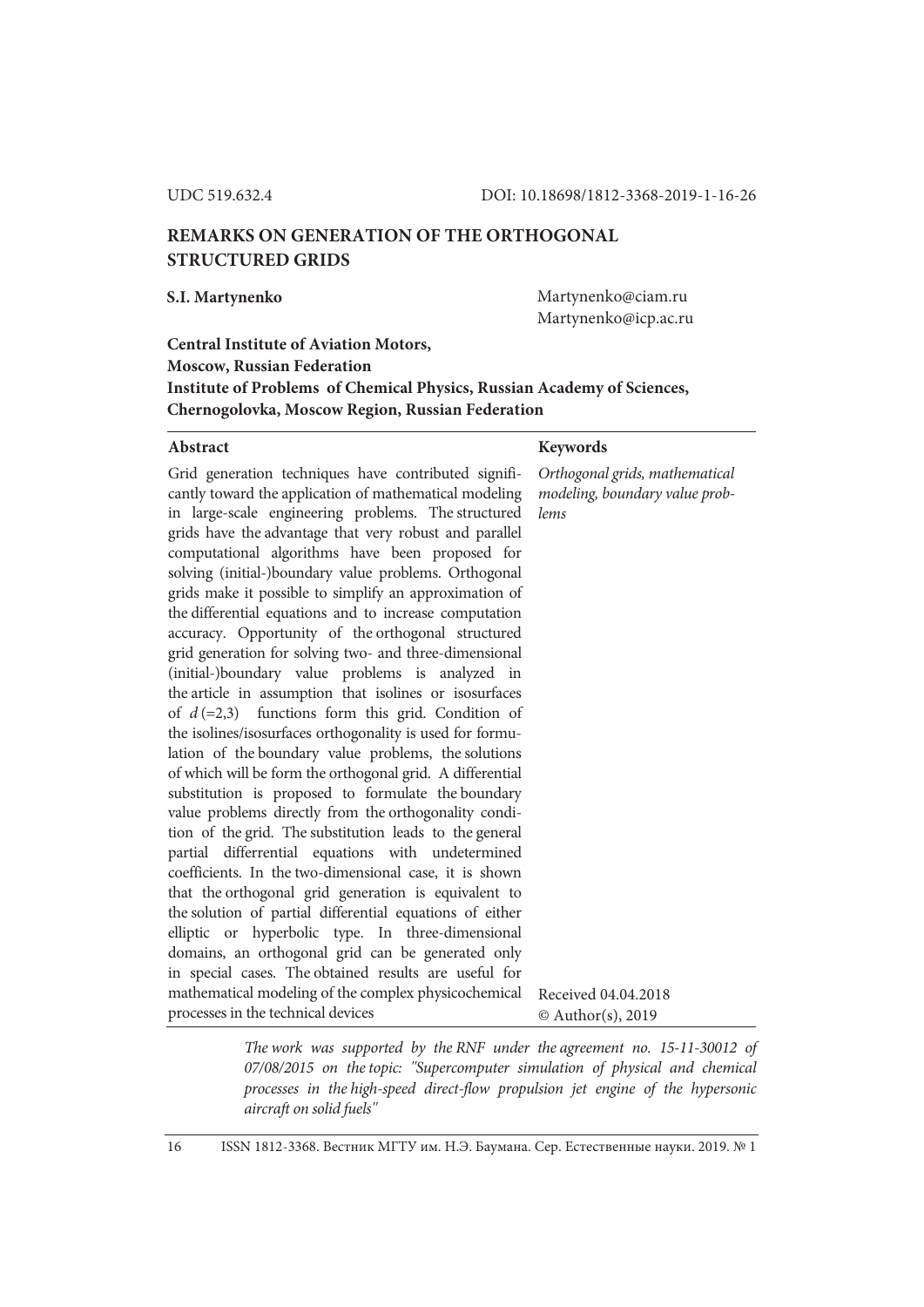# **REMARKS ON GENERATION OF THE ORTHOGONAL STRUCTURED GRIDS**

**S.I. Martynenko** Martynenko@ciam.ru Martynenko@icp.ac.ru

## **Central Institute of Aviation Motors, Moscow, Russian Federation Institute of Problems of Chemical Physics, Russian Academy of Sciences, Chernogolovka, Moscow Region, Russian Federation**

#### Abstract Keywords

Grid generation techniques have contributed significantly toward the application of mathematical modeling in large-scale engineering problems. The structured grids have the advantage that very robust and parallel computational algorithms have been proposed for solving (initial-)boundary value problems. Orthogonal grids make it possible to simplify an approximation of the differential equations and to increase computation accuracy. Opportunity of the orthogonal structured grid generation for solving two- and three-dimensional (initial-)boundary value problems is analyzed in the article in assumption that isolines or isosurfaces of  $d$  (=2,3) functions form this grid. Condition of the isolines/isosurfaces orthogonality is used for formulation of the boundary value problems, the solutions of which will be form the orthogonal grid. A differential substitution is proposed to formulate the boundary value problems directly from the orthogonality condition of the grid. The substitution leads to the general partial differrential equations with undetermined coefficients. In the two-dimensional case, it is shown that the orthogonal grid generation is equivalent to the solution of partial differential equations of either elliptic or hyperbolic type. In three-dimensional domains, an orthogonal grid can be generated only in special cases. The obtained results are useful for mathematical modeling of the complex physicochemical processes in the technical devices *lems*  Received 04.04.2018 © Author(s), 2019

*Orthogonal grids, mathematical modeling, boundary value prob-*

*The work was supported by the RNF under the agreement no. 15-11-30012 of 07/08/2015 on the topic: ''Supercomputer simulation of physical and chemical processes in the high-speed direct-flow propulsion jet engine of the hypersonic aircraft on solid fuels''* 

16 ISSN 1812-3368. Вестник МГТУ им. Н.Э. Баумана. Сер. Естественные науки. 2019. № 1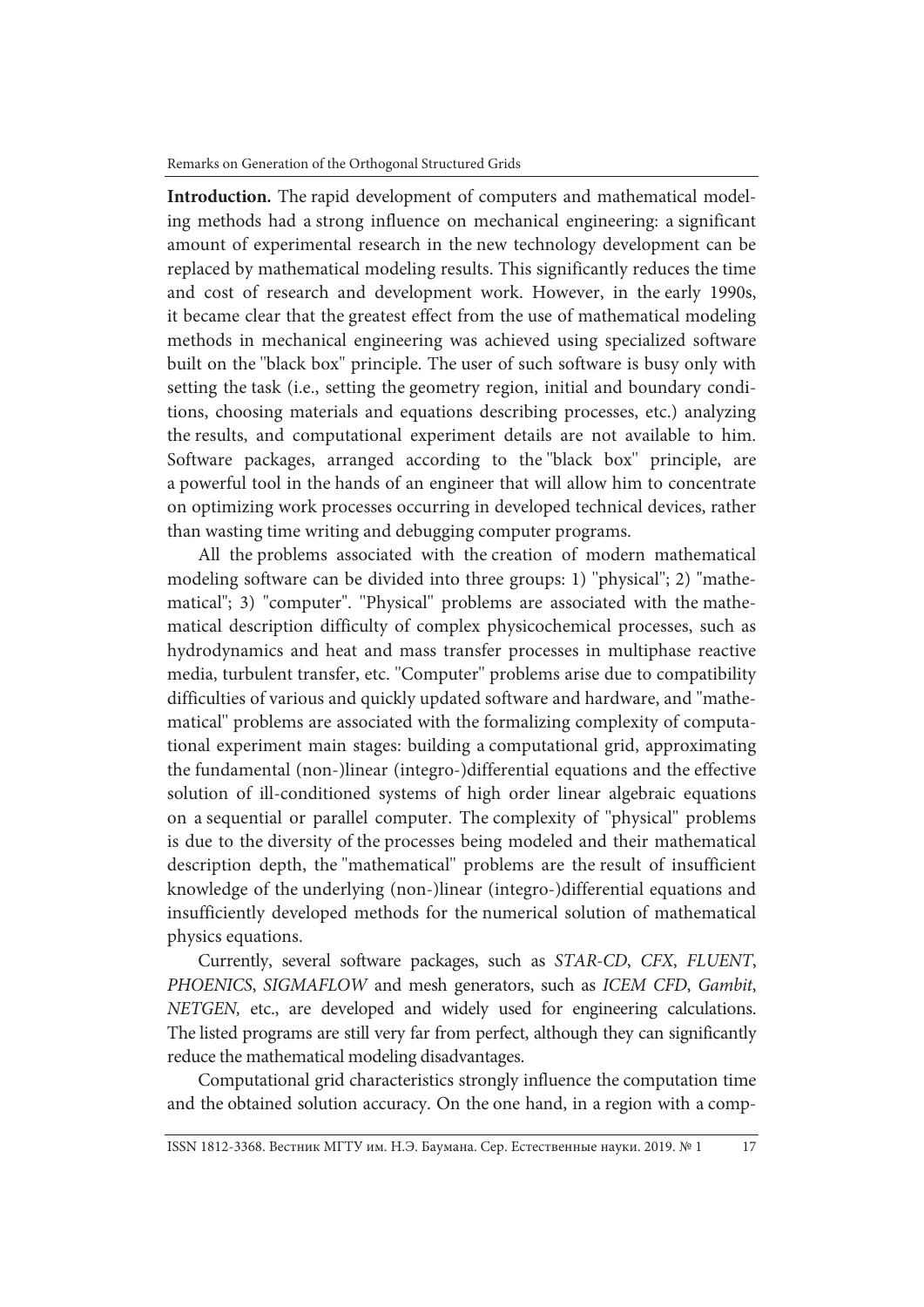**Introduction.** The rapid development of computers and mathematical modeling methods had a strong influence on mechanical engineering: a significant amount of experimental research in the new technology development can be replaced by mathematical modeling results. This significantly reduces the time and cost of research and development work. However, in the early 1990s, it became clear that the greatest effect from the use of mathematical modeling methods in mechanical engineering was achieved using specialized software built on the ''black box'' principle. The user of such software is busy only with setting the task (i.e., setting the geometry region, initial and boundary conditions, choosing materials and equations describing processes, etc.) analyzing the results, and computational experiment details are not available to him. Software packages, arranged according to the ''black box'' principle, are a powerful tool in the hands of an engineer that will allow him to concentrate on optimizing work processes occurring in developed technical devices, rather than wasting time writing and debugging computer programs.

All the problems associated with the creation of modern mathematical modeling software can be divided into three groups: 1) ''physical''; 2) "mathematical"; 3) "computer". ''Physical'' problems are associated with the mathematical description difficulty of complex physicochemical processes, such as hydrodynamics and heat and mass transfer processes in multiphase reactive media, turbulent transfer, etc. ''Computer'' problems arise due to compatibility difficulties of various and quickly updated software and hardware, and ''mathematical'' problems are associated with the formalizing complexity of computational experiment main stages: building a computational grid, approximating the fundamental (non-)linear (integro-)differential equations and the effective solution of ill-conditioned systems of high order linear algebraic equations on a sequential or parallel computer. The complexity of ''physical'' problems is due to the diversity of the processes being modeled and their mathematical description depth, the ''mathematical'' problems are the result of insufficient knowledge of the underlying (non-)linear (integro-)differential equations and insufficiently developed methods for the numerical solution of mathematical physics equations.

Currently, several software packages, such as *STAR-CD*, *CFX*, *FLUENT*, *PHOENICS*, *SIGMAFLOW* and mesh generators, such as *ICEM CFD*, *Gambit*, *NETGEN,* etc., are developed and widely used for engineering calculations. The listed programs are still very far from perfect, although they can significantly reduce the mathematical modeling disadvantages.

Computational grid characteristics strongly influence the computation time and the obtained solution accuracy. On the one hand, in a region with a comp-

ISSN 1812-3368. Вестник МГТУ им. Н.Э. Баумана. Сер. Естественные науки. 2019. № 1 17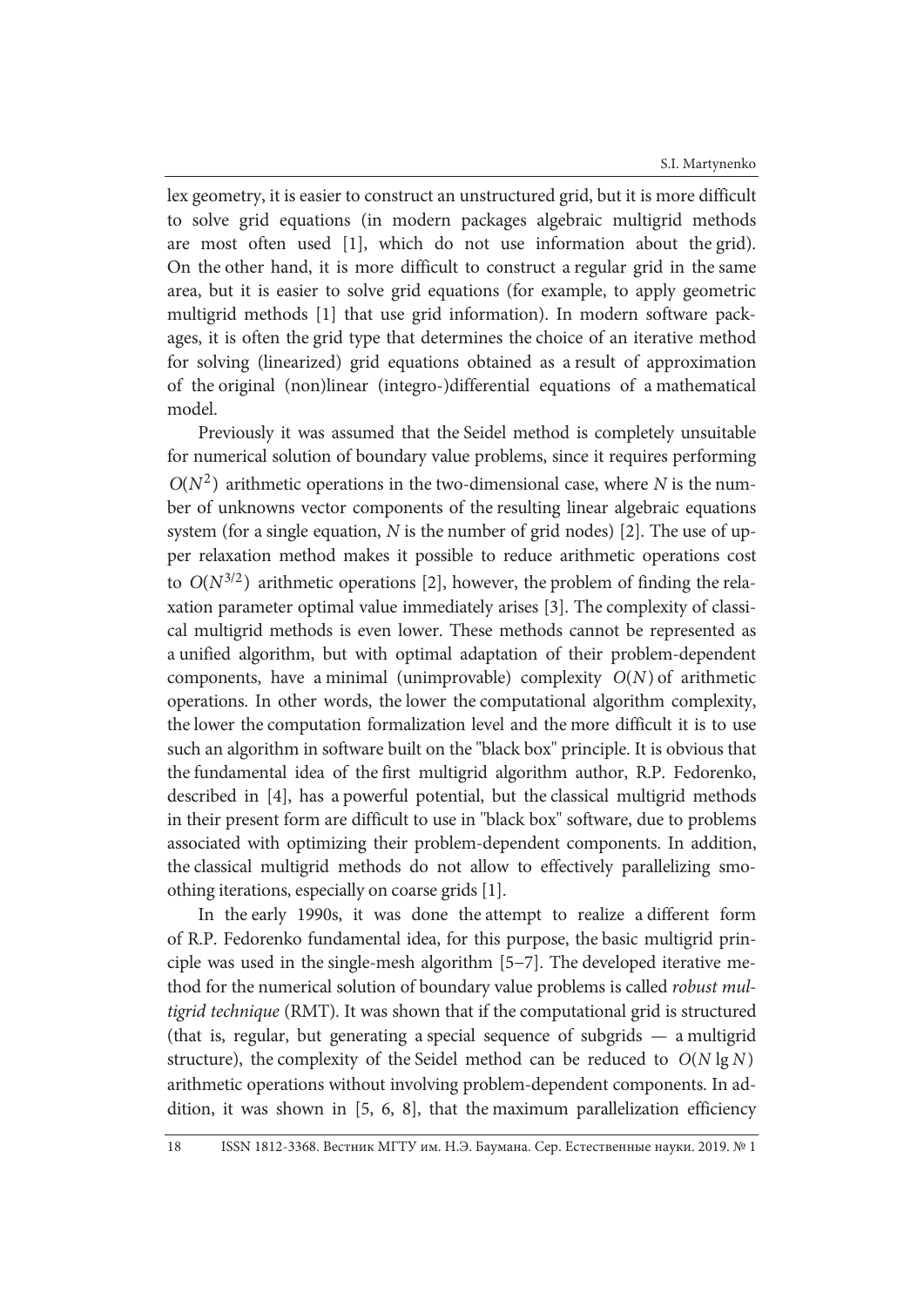lex geometry, it is easier to construct an unstructured grid, but it is more difficult to solve grid equations (in modern packages algebraic multigrid methods are most often used [1], which do not use information about the grid). On the other hand, it is more difficult to construct a regular grid in the same area, but it is easier to solve grid equations (for example, to apply geometric multigrid methods [1] that use grid information). In modern software packages, it is often the grid type that determines the choice of an iterative method for solving (linearized) grid equations obtained as a result of approximation of the original (non)linear (integro-)differential equations of a mathematical model.

Previously it was assumed that the Seidel method is completely unsuitable for numerical solution of boundary value problems, since it requires performing  $O(N^2)$  arithmetic operations in the two-dimensional case, where *N* is the number of unknowns vector components of the resulting linear algebraic equations system (for a single equation, *N* is the number of grid nodes) [2]. The use of upper relaxation method makes it possible to reduce arithmetic operations cost to  $O(N^{3/2})$  arithmetic operations [2], however, the problem of finding the relaxation parameter optimal value immediately arises [3]. The complexity of classical multigrid methods is even lower. These methods cannot be represented as a unified algorithm, but with optimal adaptation of their problem-dependent components, have a minimal (unimprovable) complexity  $O(N)$  of arithmetic operations. In other words, the lower the computational algorithm complexity, the lower the computation formalization level and the more difficult it is to use such an algorithm in software built on the ''black box'' principle. It is obvious that the fundamental idea of the first multigrid algorithm author, R.P. Fedorenko, described in [4], has a powerful potential, but the classical multigrid methods in their present form are difficult to use in ''black box'' software, due to problems associated with optimizing their problem-dependent components. In addition, the classical multigrid methods do not allow to effectively parallelizing smoothing iterations, especially on coarse grids [1].

In the early 1990s, it was done the attempt to realize a different form of R.P. Fedorenko fundamental idea, for this purpose, the basic multigrid principle was used in the single-mesh algorithm [5−7]. The developed iterative method for the numerical solution of boundary value problems is called *robust multigrid technique* (RMT). It was shown that if the computational grid is structured (that is, regular, but generating a special sequence of subgrids — a multigrid structure), the complexity of the Seidel method can be reduced to  $O(N \lg N)$ arithmetic operations without involving problem-dependent components. In addition, it was shown in [5, 6, 8], that the maximum parallelization efficiency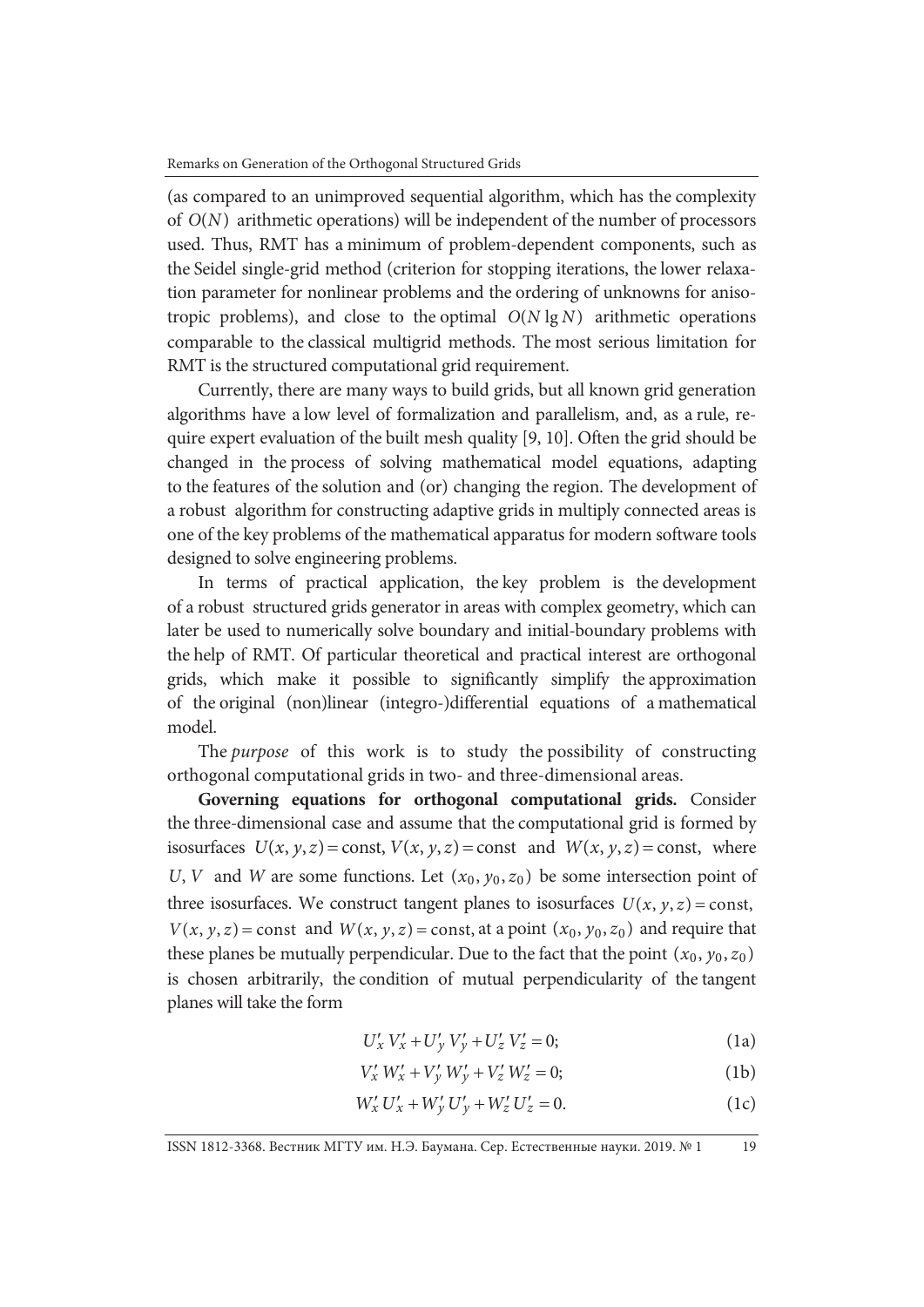(as compared to an unimproved sequential algorithm, which has the complexity of  $O(N)$  arithmetic operations) will be independent of the number of processors used. Thus, RMT has a minimum of problem-dependent components, such as the Seidel single-grid method (criterion for stopping iterations, the lower relaxation parameter for nonlinear problems and the ordering of unknowns for anisotropic problems), and close to the optimal  $O(N \lg N)$  arithmetic operations comparable to the classical multigrid methods. The most serious limitation for RMT is the structured computational grid requirement.

Currently, there are many ways to build grids, but all known grid generation algorithms have a low level of formalization and parallelism, and, as a rule, require expert evaluation of the built mesh quality [9, 10]. Often the grid should be changed in the process of solving mathematical model equations, adapting to the features of the solution and (or) changing the region. The development of a robust algorithm for constructing adaptive grids in multiply connected areas is one of the key problems of the mathematical apparatus for modern software tools designed to solve engineering problems.

In terms of practical application, the key problem is the development of a robust structured grids generator in areas with complex geometry, which can later be used to numerically solve boundary and initial-boundary problems with the help of RMT. Of particular theoretical and practical interest are orthogonal grids, which make it possible to significantly simplify the approximation of the original (non)linear (integro-)differential equations of a mathematical model.

The *purpose* of this work is to study the possibility of constructing orthogonal computational grids in two- and three-dimensional areas.

**Governing equations for orthogonal computational grids.** Consider the three-dimensional case and assume that the computational grid is formed by isosurfaces  $U(x, y, z) = \text{const}, V(x, y, z) = \text{const}$  and  $W(x, y, z) = \text{const}$ , where *U*, *V* and *W* are some functions. Let  $(x_0, y_0, z_0)$  be some intersection point of three isosurfaces. We construct tangent planes to isosurfaces  $U(x, y, z) = \text{const}$ ,  $V(x, y, z) =$ const and  $W(x, y, z) =$ const, at a point  $(x_0, y_0, z_0)$  and require that these planes be mutually perpendicular. Due to the fact that the point  $(x_0, y_0, z_0)$ is chosen arbitrarily, the condition of mutual perpendicularity of the tangent planes will take the form

$$
U'_{x} V'_{x} + U'_{y} V'_{y} + U'_{z} V'_{z} = 0; \qquad (1a)
$$

$$
V'_x W'_x + V'_y W'_y + V'_z W'_z = 0;
$$
 (1b)

$$
W'_x U'_x + W'_y U'_y + W'_z U'_z = 0.
$$
 (1c)

\n
$$
ISSN 1812-3368
$$
, Вестник МГТУ им. Н.Э. Баумана. Сер. Естественные науки. 2019. № 1\n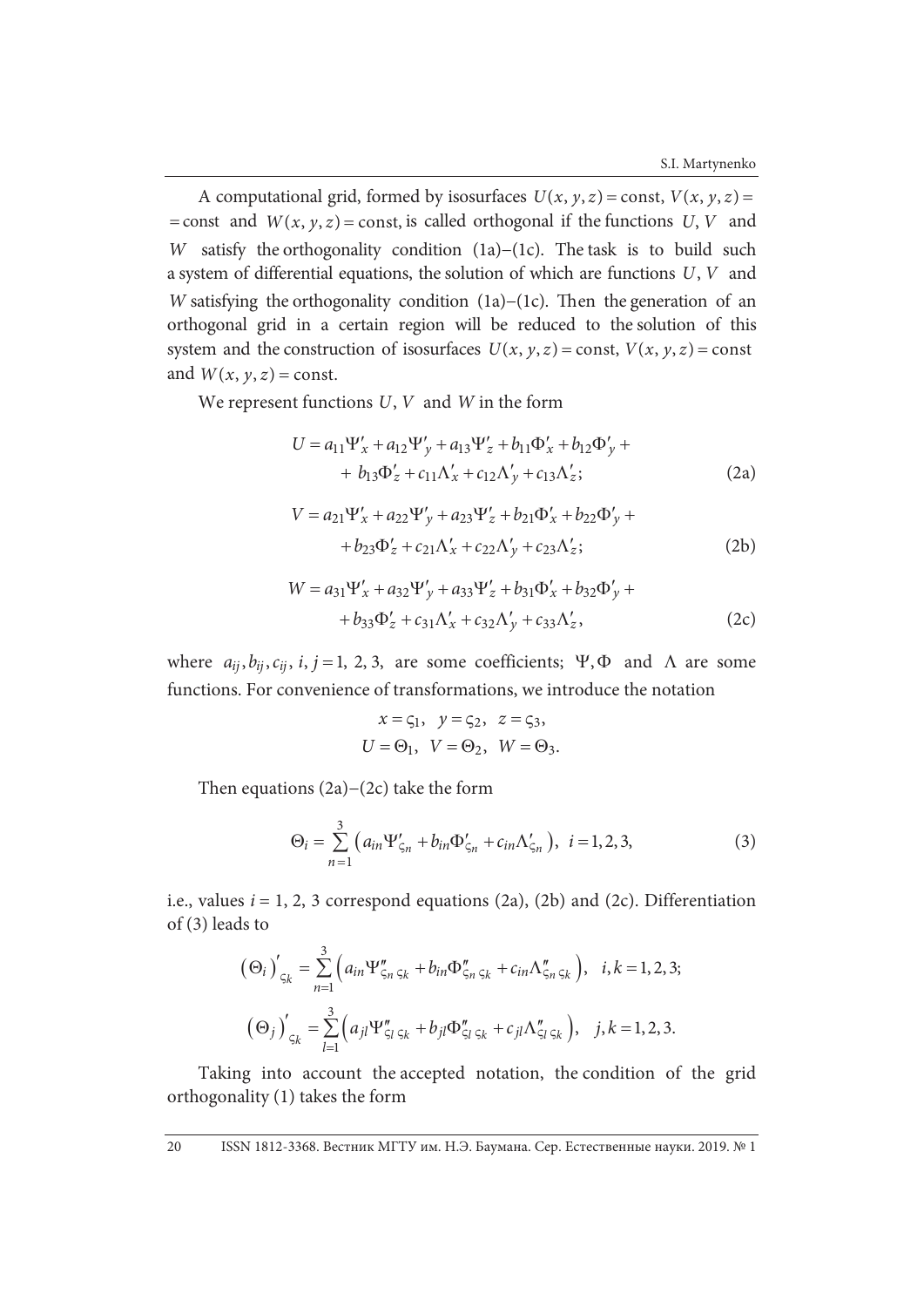A computational grid, formed by isosurfaces  $U(x, y, z) = \text{const}, V(x, y, z) =$ = const and  $W(x, y, z)$  = const, is called orthogonal if the functions *U*, *V* and *W* satisfy the orthogonality condition (1a)−(1c). The task is to build such a system of differential equations, the solution of which are functions *U*, *V* and *W* satisfying the orthogonality condition (1a)–(1c). Then the generation of an orthogonal grid in a certain region will be reduced to the solution of this system and the construction of isosurfaces  $U(x, y, z) = \text{const}$ ,  $V(x, y, z) = \text{const}$ and  $W(x, y, z) =$  const.

We represent functions *U*, *V* and *W* in the form

$$
U = a_{11}\Psi'_{x} + a_{12}\Psi'_{y} + a_{13}\Psi'_{z} + b_{11}\Phi'_{x} + b_{12}\Phi'_{y} ++ b_{13}\Phi'_{z} + c_{11}\Lambda'_{x} + c_{12}\Lambda'_{y} + c_{13}\Lambda'_{z};
$$
 (2a)

$$
V = a_{21} \Psi'_{x} + a_{22} \Psi'_{y} + a_{23} \Psi'_{z} + b_{21} \Phi'_{x} + b_{22} \Phi'_{y} ++ b_{23} \Phi'_{z} + c_{21} \Lambda'_{x} + c_{22} \Lambda'_{y} + c_{23} \Lambda'_{z};
$$
 (2b)

$$
W = a_{31} \Psi'_x + a_{32} \Psi'_y + a_{33} \Psi'_z + b_{31} \Phi'_x + b_{32} \Phi'_y ++ b_{33} \Phi'_z + c_{31} \Lambda'_x + c_{32} \Lambda'_y + c_{33} \Lambda'_z,
$$
 (2c)

where  $a_{ij}, b_{ij}, c_{ij}, i, j = 1, 2, 3$ , are some coefficients;  $\Psi$ ,  $\Phi$  and  $\Lambda$  are some functions. For convenience of transformations, we introduce the notation

$$
x = \zeta_1, \quad y = \zeta_2, \quad z = \zeta_3,
$$
  

$$
U = \Theta_1, \quad V = \Theta_2, \quad W = \Theta_3.
$$

Then equations (2a)−(2c) take the form

$$
\Theta_i = \sum_{n=1}^{3} (a_{in} \Psi'_{\zeta_n} + b_{in} \Phi'_{\zeta_n} + c_{in} \Lambda'_{\zeta_n}), \ \ i = 1, 2, 3,
$$
 (3)

i.e., values  $i = 1, 2, 3$  correspond equations (2a), (2b) and (2c). Differentiation of (3) leads to

$$
\left(\Theta_{i}\right)'_{\zeta_{k}} = \sum_{n=1}^{3} \left(a_{in} \Psi''_{\zeta_{n}\zeta_{k}} + b_{in} \Phi''_{\zeta_{n}\zeta_{k}} + c_{in} \Lambda''_{\zeta_{n}\zeta_{k}}\right), \quad i, k = 1, 2, 3;
$$

$$
\left(\Theta_{j}\right)'_{\zeta_{k}} = \sum_{l=1}^{3} \left(a_{jl} \Psi''_{\zeta_{l}\zeta_{k}} + b_{jl} \Phi''_{\zeta_{l}\zeta_{k}} + c_{jl} \Lambda''_{\zeta_{l}\zeta_{k}}\right), \quad j, k = 1, 2, 3.
$$

Taking into account the accepted notation, the condition of the grid orthogonality (1) takes the form

20 ISSN 1812-3368. Вестник МГТУ им. Н.Э. Баумана. Сер. Естественные науки. 2019. № 1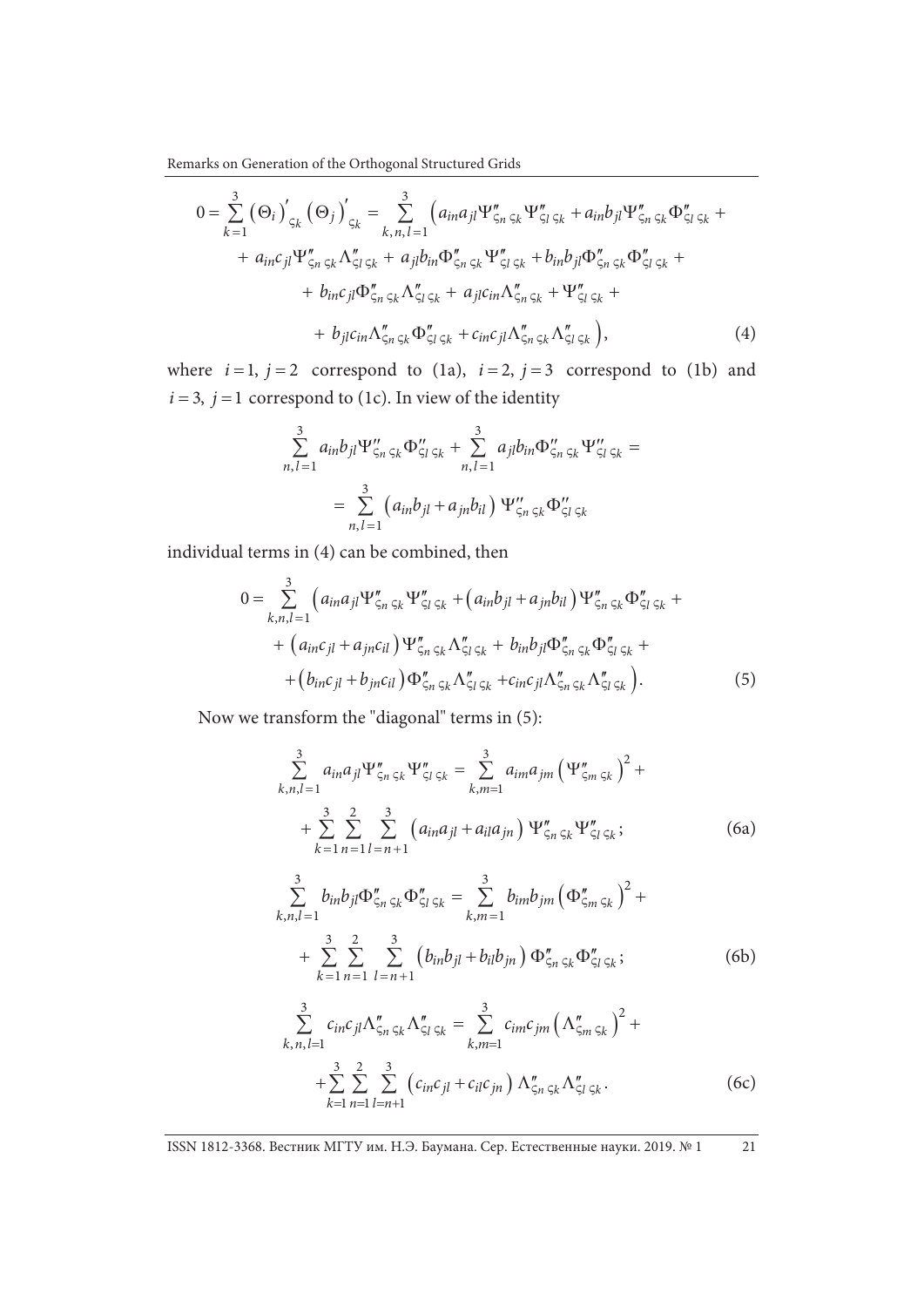Remarks on Generation of the Orthogonal Structured Grids

$$
0 = \sum_{k=1}^{3} (\Theta_{i})'_{\varsigma_{k}} (\Theta_{j})'_{\varsigma_{k}} = \sum_{k,n,l=1}^{3} (a_{in}a_{jl} \Psi''_{\varsigma_{n}\varsigma_{k}} \Psi''_{\varsigma_{l}\varsigma_{k}} + a_{in}b_{jl} \Psi''_{\varsigma_{n}\varsigma_{k}} \Phi''_{\varsigma_{l}\varsigma_{k}} ++ a_{in}c_{jl} \Psi''_{\varsigma_{n}\varsigma_{k}} \Lambda''_{\varsigma_{l}\varsigma_{k}} + a_{jl}b_{in} \Phi''_{\varsigma_{n}\varsigma_{k}} \Psi''_{\varsigma_{l}\varsigma_{k}} + b_{in}b_{jl} \Phi''_{\varsigma_{n}\varsigma_{k}} \Phi''_{\varsigma_{l}\varsigma_{k}} ++ b_{in}c_{jl} \Phi''_{\varsigma_{n}\varsigma_{k}} \Lambda''_{\varsigma_{l}\varsigma_{k}} + a_{jl}c_{in} \Lambda''_{\varsigma_{n}\varsigma_{k}} + \Psi''_{\varsigma_{l}\varsigma_{k}} ++ b_{jl}c_{in} \Lambda''_{\varsigma_{n}\varsigma_{k}} \Phi''_{\varsigma_{l}\varsigma_{k}} + c_{in}c_{jl} \Lambda''_{\varsigma_{n}\varsigma_{k}} \Lambda''_{\varsigma_{l}\varsigma_{k}} \big), \tag{4}
$$

where  $i=1$ ,  $j=2$  correspond to (1a),  $i=2$ ,  $j=3$  correspond to (1b) and  $i = 3$ ,  $j = 1$  correspond to (1c). In view of the identity

$$
\sum_{n,l=1}^{3} a_{in} b_{jl} \Psi_{\zeta_n \zeta_k}'' \Phi_{\zeta_l \zeta_k}'' + \sum_{n,l=1}^{3} a_{jl} b_{in} \Phi_{\zeta_n \zeta_k}'' \Psi_{\zeta_l \zeta_k}'' =
$$
  
= 
$$
\sum_{n,l=1}^{3} (a_{in} b_{jl} + a_{jn} b_{il}) \Psi_{\zeta_n \zeta_k}'' \Phi_{\zeta_l \zeta_k}''
$$

individual terms in (4) can be combined, then

$$
0 = \sum_{k,n,l=1}^{3} \left( a_{in} a_{jl} \Psi_{\zeta_{n}\zeta_{k}}'' \Psi_{\zeta_{l}\zeta_{k}}'' + \left( a_{in} b_{jl} + a_{jn} b_{il} \right) \Psi_{\zeta_{n}\zeta_{k}}'' \Phi_{\zeta_{l}\zeta_{k}}'' + \right. \\ \left. + \left( a_{in} c_{jl} + a_{jn} c_{il} \right) \Psi_{\zeta_{n}\zeta_{k}}'' \Lambda_{\zeta_{l}\zeta_{k}}'' + b_{in} b_{jl} \Phi_{\zeta_{n}\zeta_{k}}'' \Phi_{\zeta_{l}\zeta_{k}}'' + \right. \\ \left. + \left( b_{in} c_{jl} + b_{jn} c_{il} \right) \Phi_{\zeta_{n}\zeta_{k}}'' \Lambda_{\zeta_{l}\zeta_{k}}'' + c_{in} c_{jl} \Lambda_{\zeta_{n}\zeta_{k}}'' \Lambda_{\zeta_{l}\zeta_{k}}'' \right). \tag{5}
$$

Now we transform the "diagonal" terms in (5):

$$
\sum_{k,n,l=1}^{3} a_{in} a_{jl} \Psi_{\zeta_n \zeta_k}'' \Psi_{\zeta_l \zeta_k}'' = \sum_{k,m=1}^{3} a_{im} a_{jm} (\Psi_{\zeta_m \zeta_k}''')^2 + + \sum_{k=1}^{3} \sum_{n=1}^{2} \sum_{l=n+1}^{3} (a_{in} a_{jl} + a_{il} a_{jn}) \Psi_{\zeta_n \zeta_k}'' \Psi_{\zeta_l \zeta_k}''';
$$
(6a)

$$
\sum_{k,n,l=1}^{3} b_{in}b_{jl}\Phi_{\zeta_n\,\zeta_k}''\Phi_{\zeta_l\,\zeta_k}'' = \sum_{k,m=1}^{3} b_{im}b_{jm} \left(\Phi_{\zeta_m\,\zeta_k}''\right)^2 + + \sum_{k=1}^{3} \sum_{n=1}^{2} \sum_{l=n+1}^{3} \left(b_{in}b_{jl} + b_{il}b_{jn}\right)\Phi_{\zeta_n\,\zeta_k}''\Phi_{\zeta_l\,\zeta_k}'';
$$
(6b)

$$
\sum_{k,n,l=1}^{3} c_{in}c_{jl}\Lambda_{\zeta_{n}\zeta_{k}}''\Lambda_{\zeta_{l}\zeta_{k}}'' = \sum_{k,m=1}^{3} c_{im}c_{jm}\left(\Lambda_{\zeta_{m}\zeta_{k}}''\right)^{2} + + \sum_{k=1}^{3} \sum_{n=1}^{2} \sum_{l=n+1}^{3} \left(c_{in}c_{jl} + c_{il}c_{jn}\right)\Lambda_{\zeta_{n}\zeta_{k}}''\Lambda_{\zeta_{l}\zeta_{k}}''.
$$
 (6c)

ISSN 1812-3368. Вестник МГТУ им. Н.Э. Баумана. Сер. Естественные науки. 2019. № 1 21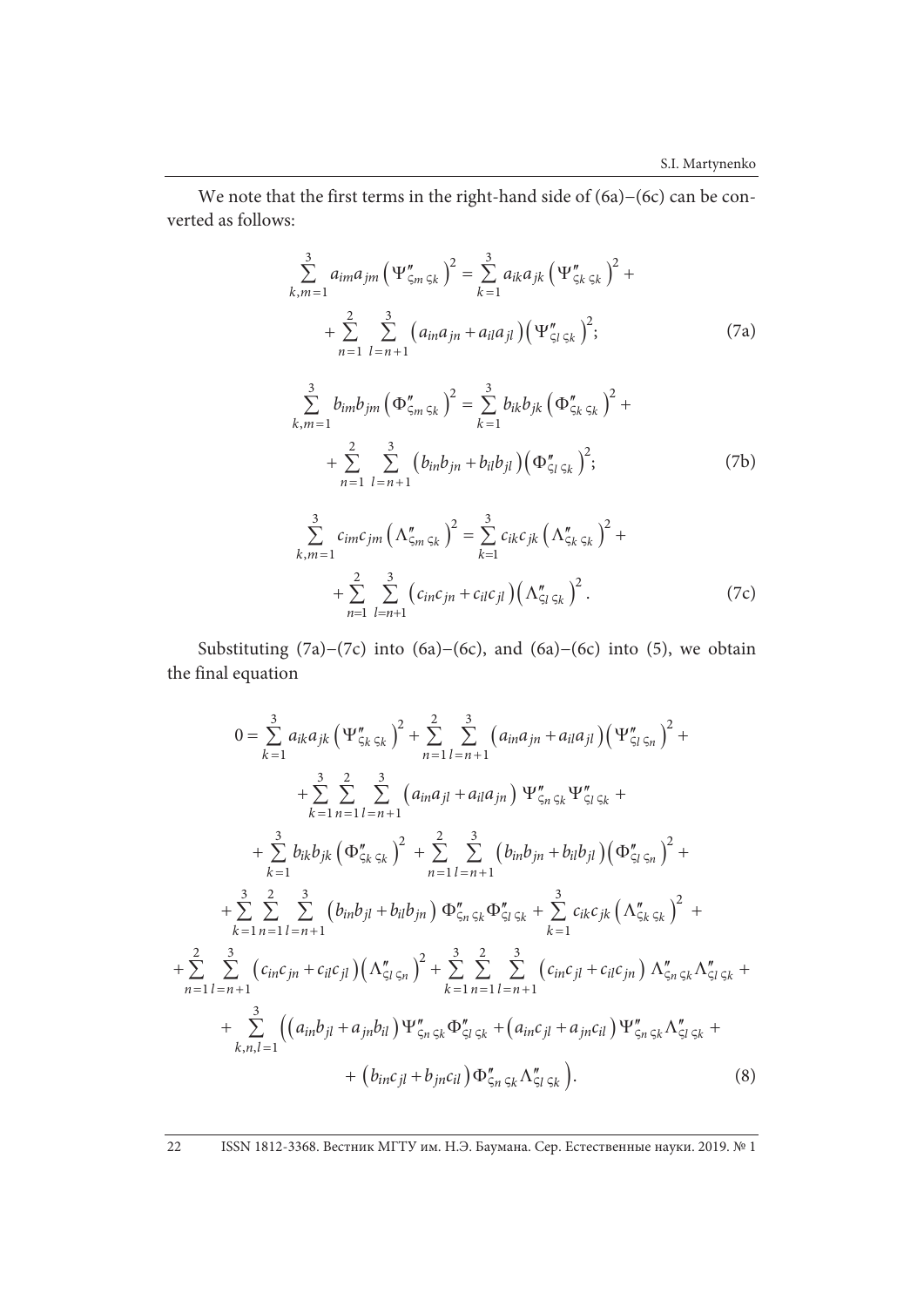We note that the first terms in the right-hand side of (6a)−(6c) can be converted as follows:

$$
\sum_{k,m=1}^{3} a_{im} a_{jm} (\Psi''_{\zeta_m \zeta_k})^2 = \sum_{k=1}^{3} a_{ik} a_{jk} (\Psi''_{\zeta_k \zeta_k})^2 + + \sum_{n=1}^{2} \sum_{l=n+1}^{3} (a_{in} a_{jn} + a_{il} a_{jl}) (\Psi''_{\zeta_l \zeta_k})^2; \tag{7a}
$$

$$
\sum_{k,m=1}^{3} b_{im} b_{jm} (\Phi''_{\zeta_m \zeta_k})^2 = \sum_{k=1}^{3} b_{ik} b_{jk} (\Phi''_{\zeta_k \zeta_k})^2 + + \sum_{n=1}^{2} \sum_{l=n+1}^{3} (b_{in} b_{jn} + b_{il} b_{jl}) (\Phi''_{\zeta_l \zeta_k})^2; \tag{7b}
$$

$$
\sum_{k,m=1}^{3} c_{im}c_{jm} \left( \Lambda_{\zeta_{m}\zeta_{k}}'' \right)^{2} = \sum_{k=1}^{3} c_{ik}c_{jk} \left( \Lambda_{\zeta_{k}\zeta_{k}}'' \right)^{2} + \\ + \sum_{n=1}^{2} \sum_{l=n+1}^{3} \left( c_{in}c_{jn} + c_{il}c_{jl} \right) \left( \Lambda_{\zeta_{l}\zeta_{k}}'' \right)^{2} . \tag{7c}
$$

Substituting (7a)−(7c) into (6a)−(6c), and (6a)−(6c) into (5), we obtain the final equation

$$
0 = \sum_{k=1}^{3} a_{ik} a_{jk} \left( \Psi_{\zeta_k}'' \right)^2 + \sum_{n=1}^{2} \sum_{l=n+1}^{3} \left( a_{in} a_{jn} + a_{il} a_{jl} \right) \left( \Psi_{\zeta_l \zeta_n}'' \right)^2 +
$$
  
+ 
$$
\sum_{k=1}^{3} \sum_{n=1}^{2} \sum_{l=n+1}^{3} \left( a_{in} a_{jl} + a_{il} a_{jn} \right) \Psi_{\zeta_n \zeta_k}'' \Psi_{\zeta_l \zeta_k}'' +
$$
  
+ 
$$
\sum_{k=1}^{3} b_{ik} b_{jk} \left( \Phi_{\zeta_k \zeta_k}'' \right)^2 + \sum_{n=1}^{2} \sum_{l=n+1}^{3} \left( b_{in} b_{jn} + b_{il} b_{jl} \right) \left( \Phi_{\zeta_l \zeta_n}'' \right)^2 +
$$
  
+ 
$$
\sum_{k=1}^{3} \sum_{n=1}^{2} \sum_{l=n+1}^{3} \left( b_{in} b_{jl} + b_{il} b_{jn} \right) \Phi_{\zeta_n \zeta_k}'' \Phi_{\zeta_l \zeta_k}'' + \sum_{k=1}^{3} c_{ik} c_{jk} \left( \Lambda_{\zeta_k \zeta_k}'' \right)^2 +
$$
  
+ 
$$
\sum_{n=1}^{2} \sum_{l=n+1}^{3} \left( c_{in} c_{jn} + c_{il} c_{jl} \right) \left( \Lambda_{\zeta_l \zeta_n}'' \right)^2 + \sum_{k=1}^{3} \sum_{n=1}^{2} \sum_{l=n+1}^{3} \left( c_{in} c_{jl} + c_{il} c_{jn} \right) \Lambda_{\zeta_n \zeta_k}'' \Lambda_{\zeta_l \zeta_k}'' +
$$
  
+ 
$$
\sum_{k,n,l=1}^{3} \left( \left( a_{in} b_{jl} + a_{jn} b_{il} \right) \Psi_{\zeta_n \zeta_k}'' \Phi_{\zeta_l \zeta_k}'' + \left( a_{in} c_{jl} + a_{jn} c_{il} \right) \Psi_{\zeta_n \zeta_k}'' \Lambda_{\zeta_l \zeta_k}'' +
$$
  
+ 
$$
\left( b_{in} c_{jl} + b_{jn} c_{il} \right) \Phi_{\zeta_n \
$$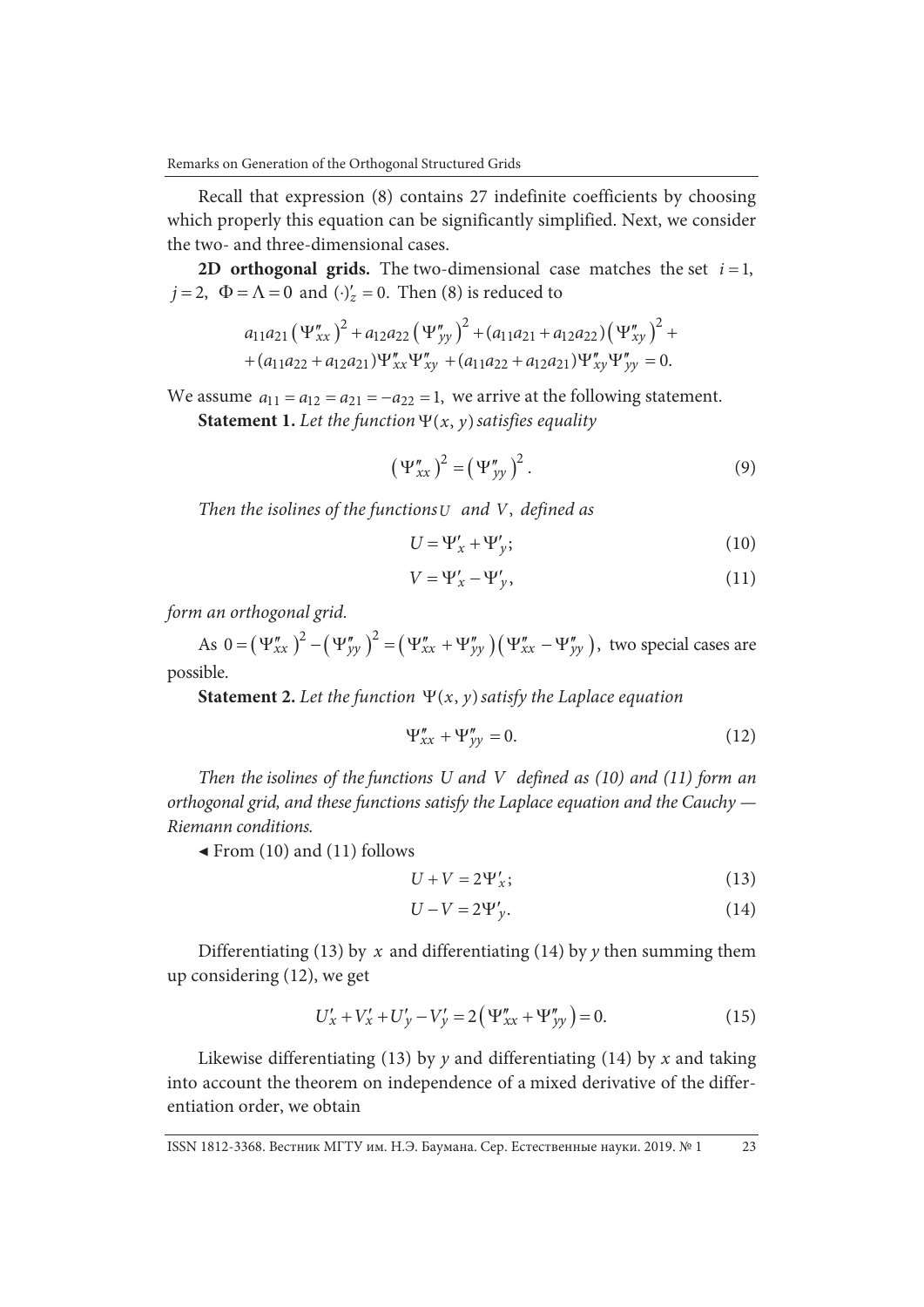Recall that expression (8) contains 27 indefinite coefficients by choosing which properly this equation can be significantly simplified. Next, we consider the two- and three-dimensional cases.

**2D orthogonal grids.** The two-dimensional case matches the set  $i = 1$ ,  $j = 2$ ,  $\Phi = \Lambda = 0$  and  $(\cdot)'_z = 0$ . Then (8) is reduced to

$$
a_{11}a_{21} (\Psi''_{xx})^2 + a_{12}a_{22} (\Psi''_{yy})^2 + (a_{11}a_{21} + a_{12}a_{22}) (\Psi''_{xy})^2 + + (a_{11}a_{22} + a_{12}a_{21}) \Psi''_{xx} \Psi''_{xy} + (a_{11}a_{22} + a_{12}a_{21}) \Psi''_{xy} \Psi''_{yy} = 0.
$$

We assume  $a_{11} = a_{12} = a_{21} = -a_{22} = 1$ , we arrive at the following statement.

**Statement 1.** Let the function  $\Psi(x, y)$  satisfies equality

$$
\left(\Psi''_{xx}\right)^2 = \left(\Psi''_{yy}\right)^2. \tag{9}
$$

*Then the isolines of the functionsU and V*, *defined as* 

$$
U = \Psi_x' + \Psi_y';\tag{10}
$$

$$
V = \Psi_x' - \Psi_y',\tag{11}
$$

*form an orthogonal grid.* 

As  $0 = (\Psi''_{xx})^2 - (\Psi''_{yy})^2 = (\Psi''_{xx} + \Psi''_{yy}) (\Psi''_{xx} - \Psi''_{yy})$ , two special cases are possible.

**Statement 2.** Let the function  $\Psi(x, y)$  satisfy the Laplace equation

$$
\Psi_{xx}'' + \Psi_{yy}'' = 0. \tag{12}
$$

*Then the isolines of the functions U and V defined as (10) and (11) form an orthogonal grid, and these functions satisfy the Laplace equation and the Cauchy — Riemann conditions.* 

**◀** From (10) and (11) follows

$$
U + V = 2\Psi_x';\t\t(13)
$$

$$
U - V = 2\Psi_y'.
$$
\n<sup>(14)</sup>

Differentiating (13) by *x* and differentiating (14) by *y* then summing them up considering (12), we get

$$
U'_{x} + V'_{x} + U'_{y} - V'_{y} = 2(\Psi''_{xx} + \Psi''_{yy}) = 0.
$$
 (15)

Likewise differentiating (13) by *y* and differentiating (14) by *x* and taking into account the theorem on independence of a mixed derivative of the differentiation order, we obtain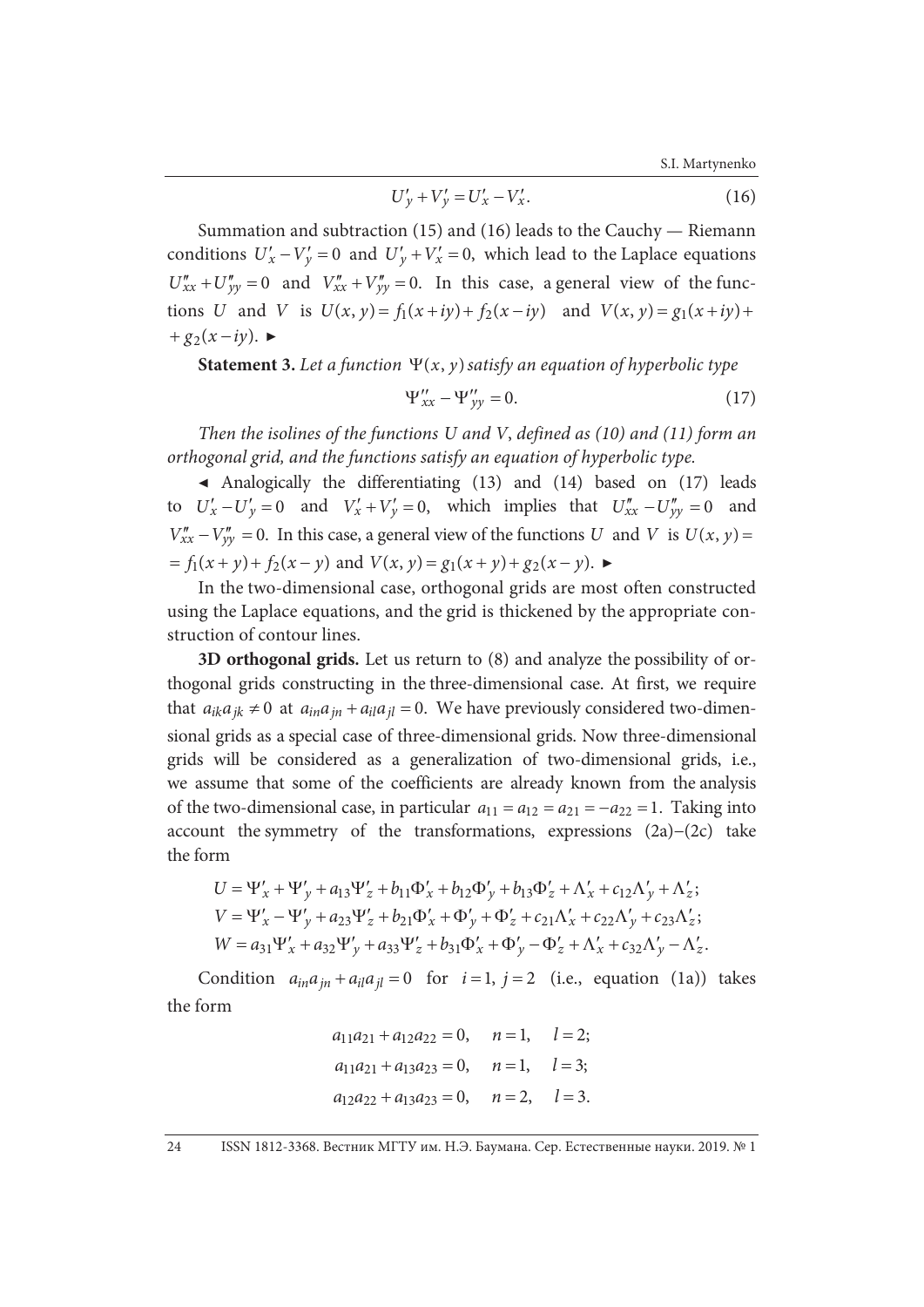S.I. Martynenko

$$
U'_{y} + V'_{y} = U'_{x} - V'_{x}.
$$
 (16)

Summation and subtraction (15) and (16) leads to the Cauchy — Riemann conditions  $U'_x - V'_y = 0$  and  $U'_y + V'_x = 0$ , which lead to the Laplace equations  $U''_{xx} + U''_{yy} = 0$  and  $V''_{xx} + V''_{yy} = 0$ . In this case, a general view of the functions *U* and *V* is  $U(x, y) = f_1(x + iy) + f_2(x - iy)$  and  $V(x, y) = g_1(x + iy) +$  $+ g_2(x - iy)$ .

**Statement 3.** Let a function  $\Psi(x, y)$  satisfy an equation of hyperbolic type

$$
\Psi_{xx}^{\prime\prime} - \Psi_{yy}^{\prime\prime} = 0. \tag{17}
$$

*Then the isolines of the functions U and V*, *defined as (10) and (11) form an orthogonal grid, and the functions satisfy an equation of hyperbolic type.* 

**◀** Analogically the differentiating (13) and (14) based on (17) leads to  $U'_x - U'_y = 0$  and  $V'_x + V'_y = 0$ , which implies that  $U''_{xx} - U''_{yy} = 0$  and  $V''_{xx} - V''_{yy} = 0$ . In this case, a general view of the functions *U* and *V* is  $U(x, y) =$  $f_1(x + y) + f_2(x - y)$  and  $V(x, y) = g_1(x + y) + g_2(x - y)$ .

In the two-dimensional case, orthogonal grids are most often constructed using the Laplace equations, and the grid is thickened by the appropriate construction of contour lines.

**3D orthogonal grids.** Let us return to (8) and analyze the possibility of orthogonal grids constructing in the three-dimensional case. At first, we require that  $a_{ik}a_{jk} \neq 0$  at  $a_{in}a_{in} + a_{il}a_{jl} = 0$ . We have previously considered two-dimensional grids as a special case of three-dimensional grids. Now three-dimensional grids will be considered as a generalization of two-dimensional grids, i.e., we assume that some of the coefficients are already known from the analysis of the two-dimensional case, in particular  $a_{11} = a_{12} = a_{21} = -a_{22} = 1$ . Taking into account the symmetry of the transformations, expressions (2a)−(2c) take the form

$$
U = \Psi'_x + \Psi'_y + a_{13}\Psi'_z + b_{11}\Phi'_x + b_{12}\Phi'_y + b_{13}\Phi'_z + \Lambda'_x + c_{12}\Lambda'_y + \Lambda'_z;
$$
  
\n
$$
V = \Psi'_x - \Psi'_y + a_{23}\Psi'_z + b_{21}\Phi'_x + \Phi'_y + \Phi'_z + c_{21}\Lambda'_x + c_{22}\Lambda'_y + c_{23}\Lambda'_z;
$$
  
\n
$$
W = a_{31}\Psi'_x + a_{32}\Psi'_y + a_{33}\Psi'_z + b_{31}\Phi'_x + \Phi'_y - \Phi'_z + \Lambda'_x + c_{32}\Lambda'_y - \Lambda'_z.
$$

Condition  $a_{in}a_{in} + a_{il}a_{il} = 0$  for  $i = 1$ ,  $j = 2$  (i.e., equation (1a)) takes the form

$$
a_{11}a_{21} + a_{12}a_{22} = 0
$$
,  $n = 1$ ,  $l = 2$ ;  
\n $a_{11}a_{21} + a_{13}a_{23} = 0$ ,  $n = 1$ ,  $l = 3$ ;  
\n $a_{12}a_{22} + a_{13}a_{23} = 0$ ,  $n = 2$ ,  $l = 3$ .

24 ISSN 1812-3368. Вестник МГТУ им. Н.Э. Баумана. Сер. Естественные науки. 2019. № 1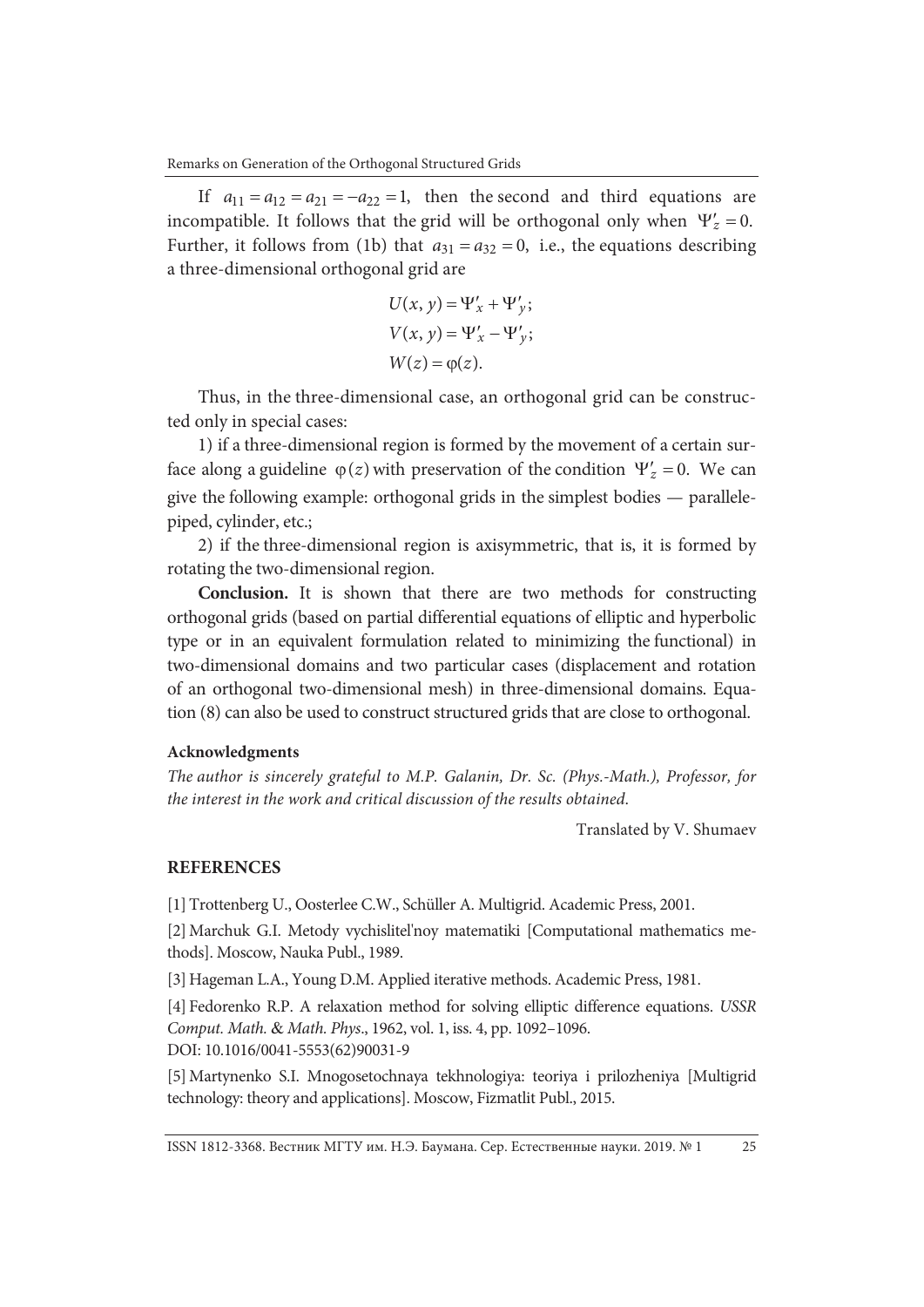If  $a_{11} = a_{12} = a_{21} = -a_{22} = 1$ , then the second and third equations are incompatible. It follows that the grid will be orthogonal only when  $\Psi'_z = 0$ . Further, it follows from (1b) that  $a_{31} = a_{32} = 0$ , i.e., the equations describing a three-dimensional orthogonal grid are

$$
U(x, y) = \Psi'_x + \Psi'_y;
$$
  
\n
$$
V(x, y) = \Psi'_x - \Psi'_y;
$$
  
\n
$$
W(z) = \varphi(z).
$$

Thus, in the three-dimensional case, an orthogonal grid can be constructed only in special cases:

1) if a three-dimensional region is formed by the movement of a certain surface along a guideline  $\varphi(z)$  with preservation of the condition  $\Psi'_z = 0$ . We can give the following example: orthogonal grids in the simplest bodies — parallelepiped, cylinder, etc.;

2) if the three-dimensional region is axisymmetric, that is, it is formed by rotating the two-dimensional region.

**Conclusion.** It is shown that there are two methods for constructing orthogonal grids (based on partial differential equations of elliptic and hyperbolic type or in an equivalent formulation related to minimizing the functional) in two-dimensional domains and two particular cases (displacement and rotation of an orthogonal two-dimensional mesh) in three-dimensional domains. Equation (8) can also be used to construct structured grids that are close to orthogonal.

### **Acknowledgments**

*The author is sincerely grateful to M.P. Galanin, Dr. Sc. (Phys.-Math.), Professor, for the interest in the work and critical discussion of the results obtained*.

Translated by V. Shumaev

## **REFERENCES**

[1] Trottenberg U., Oosterlee C.W., Schüller A. Multigrid. Academic Press, 2001.

[2] Marchuk G.I. Metody vychislitel'noy matematiki [Computational mathematics methods]. Moscow, Nauka Publ., 1989.

[3] Hageman L.A., Young D.M. Applied iterative methods. Academic Press, 1981.

[4] Fedorenko R.P. A relaxation method for solving elliptic difference equations. *USSR Comput. Math.* & *Math. Phys*., 1962, vol. 1, iss. 4, pp. 1092–1096. DOI: 10.1016/0041-5553(62)90031-9

[5] Martynenko S.I. Mnogosetochnaya tekhnologiya: teoriya i prilozheniya [Multigrid technology: theory and applications]. Moscow, Fizmatlit Publ., 2015.